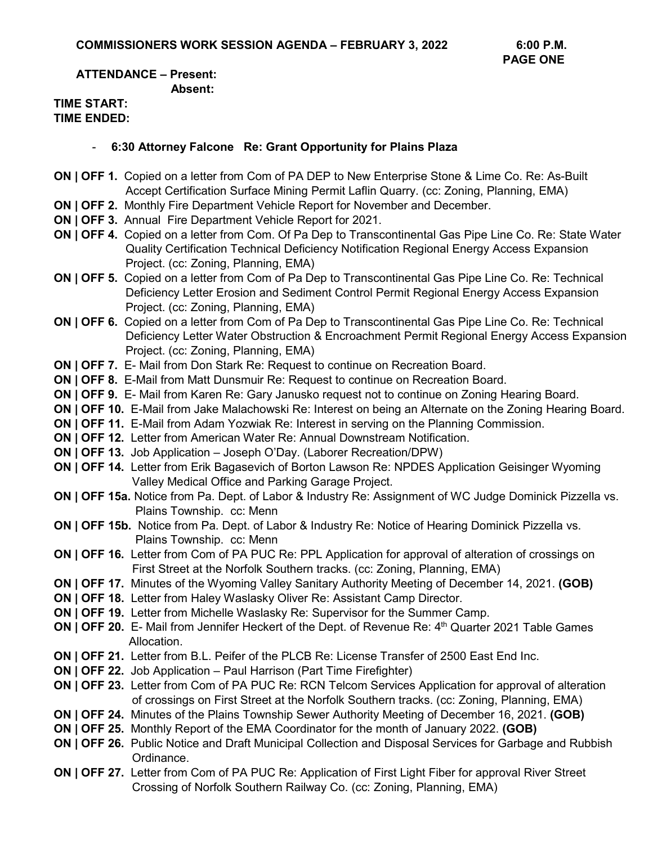#### **ATTENDANCE – Present: Absent:**

#### **TIME START: TIME ENDED:**

### - **6:30 Attorney Falcone Re: Grant Opportunity for Plains Plaza**

- **ON | OFF 1.** Copied on a letter from Com of PA DEP to New Enterprise Stone & Lime Co. Re: As-Built Accept Certification Surface Mining Permit Laflin Quarry. (cc: Zoning, Planning, EMA)
- **ON | OFF 2.** Monthly Fire Department Vehicle Report for November and December.
- **ON | OFF 3.** Annual Fire Department Vehicle Report for 2021.
- **ON | OFF 4.** Copied on a letter from Com. Of Pa Dep to Transcontinental Gas Pipe Line Co. Re: State Water Quality Certification Technical Deficiency Notification Regional Energy Access Expansion Project. (cc: Zoning, Planning, EMA)
- **ON | OFF 5.** Copied on a letter from Com of Pa Dep to Transcontinental Gas Pipe Line Co. Re: Technical Deficiency Letter Erosion and Sediment Control Permit Regional Energy Access Expansion Project. (cc: Zoning, Planning, EMA)
- **ON | OFF 6.** Copied on a letter from Com of Pa Dep to Transcontinental Gas Pipe Line Co. Re: Technical Deficiency Letter Water Obstruction & Encroachment Permit Regional Energy Access Expansion Project. (cc: Zoning, Planning, EMA)
- **ON | OFF 7.** E- Mail from Don Stark Re: Request to continue on Recreation Board.
- **ON | OFF 8.** E-Mail from Matt Dunsmuir Re: Request to continue on Recreation Board.
- **ON | OFF 9.** E- Mail from Karen Re: Gary Janusko request not to continue on Zoning Hearing Board.
- **ON | OFF 10.** E-Mail from Jake Malachowski Re: Interest on being an Alternate on the Zoning Hearing Board.
- **ON | OFF 11.** E-Mail from Adam Yozwiak Re: Interest in serving on the Planning Commission.
- **ON | OFF 12.** Letter from American Water Re: Annual Downstream Notification.
- **ON | OFF 13.** Job Application Joseph O'Day. (Laborer Recreation/DPW)
- **ON | OFF 14.** Letter from Erik Bagasevich of Borton Lawson Re: NPDES Application Geisinger Wyoming Valley Medical Office and Parking Garage Project.
- **ON | OFF 15a.** Notice from Pa. Dept. of Labor & Industry Re: Assignment of WC Judge Dominick Pizzella vs. Plains Township. cc: Menn
- **ON | OFF 15b.** Notice from Pa. Dept. of Labor & Industry Re: Notice of Hearing Dominick Pizzella vs. Plains Township. cc: Menn
- **ON | OFF 16.** Letter from Com of PA PUC Re: PPL Application for approval of alteration of crossings on First Street at the Norfolk Southern tracks. (cc: Zoning, Planning, EMA)
- **ON | OFF 17.** Minutes of the Wyoming Valley Sanitary Authority Meeting of December 14, 2021. **(GOB)**
- **ON | OFF 18.** Letter from Haley Waslasky Oliver Re: Assistant Camp Director.
- **ON | OFF 19.** Letter from Michelle Waslasky Re: Supervisor for the Summer Camp.
- **ON | OFF 20.** E- Mail from Jennifer Heckert of the Dept. of Revenue Re: 4<sup>th</sup> Quarter 2021 Table Games Allocation.
- **ON | OFF 21.** Letter from B.L. Peifer of the PLCB Re: License Transfer of 2500 East End Inc.
- **ON | OFF 22.** Job Application Paul Harrison (Part Time Firefighter)
- **ON | OFF 23.** Letter from Com of PA PUC Re: RCN Telcom Services Application for approval of alteration of crossings on First Street at the Norfolk Southern tracks. (cc: Zoning, Planning, EMA)
- **ON | OFF 24.** Minutes of the Plains Township Sewer Authority Meeting of December 16, 2021. **(GOB)**
- **ON | OFF 25.** Monthly Report of the EMA Coordinator for the month of January 2022. **(GOB)**
- **ON | OFF 26.** Public Notice and Draft Municipal Collection and Disposal Services for Garbage and Rubbish Ordinance.
- **ON | OFF 27.** Letter from Com of PA PUC Re: Application of First Light Fiber for approval River Street Crossing of Norfolk Southern Railway Co. (cc: Zoning, Planning, EMA)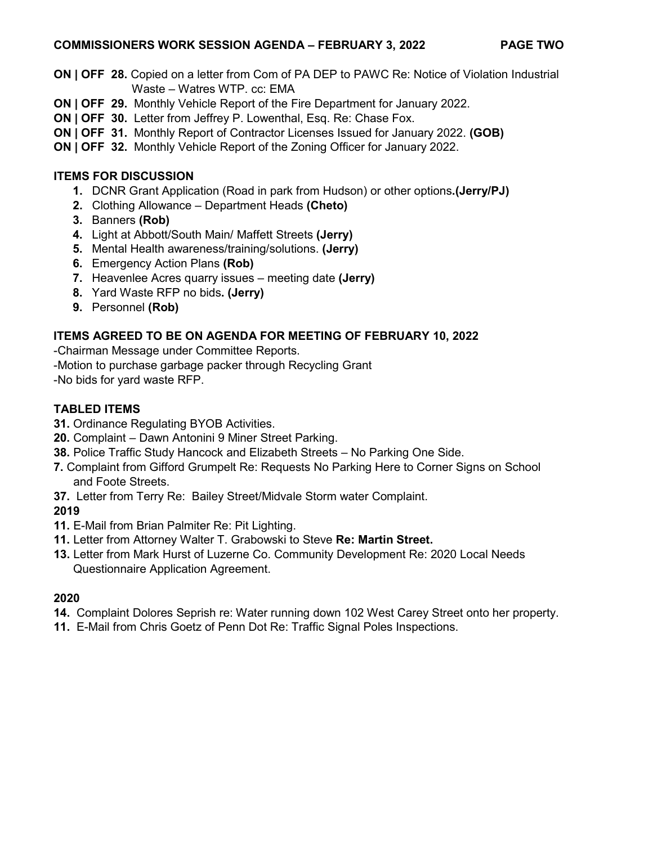### **COMMISSIONERS WORK SESSION AGENDA – FEBRUARY 3, 2022 PAGE TWO**

- **ON | OFF 28.** Copied on a letter from Com of PA DEP to PAWC Re: Notice of Violation Industrial Waste – Watres WTP. cc: EMA
- **ON | OFF 29.** Monthly Vehicle Report of the Fire Department for January 2022.
- **ON | OFF 30.** Letter from Jeffrey P. Lowenthal, Esq. Re: Chase Fox.
- **ON | OFF 31.** Monthly Report of Contractor Licenses Issued for January 2022. **(GOB)**
- **ON | OFF 32.** Monthly Vehicle Report of the Zoning Officer for January 2022.

## **ITEMS FOR DISCUSSION**

- **1.** DCNR Grant Application (Road in park from Hudson) or other options**.(Jerry/PJ)**
- **2.** Clothing Allowance Department Heads **(Cheto)**
- **3.** Banners **(Rob)**
- **4.** Light at Abbott/South Main/ Maffett Streets **(Jerry)**
- **5.** Mental Health awareness/training/solutions. **(Jerry)**
- **6.** Emergency Action Plans **(Rob)**
- **7.** Heavenlee Acres quarry issues meeting date **(Jerry)**
- **8.** Yard Waste RFP no bids**. (Jerry)**
- **9.** Personnel **(Rob)**

# **ITEMS AGREED TO BE ON AGENDA FOR MEETING OF FEBRUARY 10, 2022**

-Chairman Message under Committee Reports.

- -Motion to purchase garbage packer through Recycling Grant
- -No bids for yard waste RFP.

# **TABLED ITEMS**

- **31.** Ordinance Regulating BYOB Activities.
- **20.** Complaint Dawn Antonini 9 Miner Street Parking.
- **38.** Police Traffic Study Hancock and Elizabeth Streets No Parking One Side.
- **7.** Complaint from Gifford Grumpelt Re: Requests No Parking Here to Corner Signs on School and Foote Streets.
- **37.** Letter from Terry Re: Bailey Street/Midvale Storm water Complaint.

# **2019**

- **11.** E-Mail from Brian Palmiter Re: Pit Lighting.
- **11.** Letter from Attorney Walter T. Grabowski to Steve **Re: Martin Street.**
- **13.** Letter from Mark Hurst of Luzerne Co. Community Development Re: 2020 Local Needs Questionnaire Application Agreement.

## **2020**

- **14.** Complaint Dolores Seprish re: Water running down 102 West Carey Street onto her property.
- **11.** E-Mail from Chris Goetz of Penn Dot Re: Traffic Signal Poles Inspections.